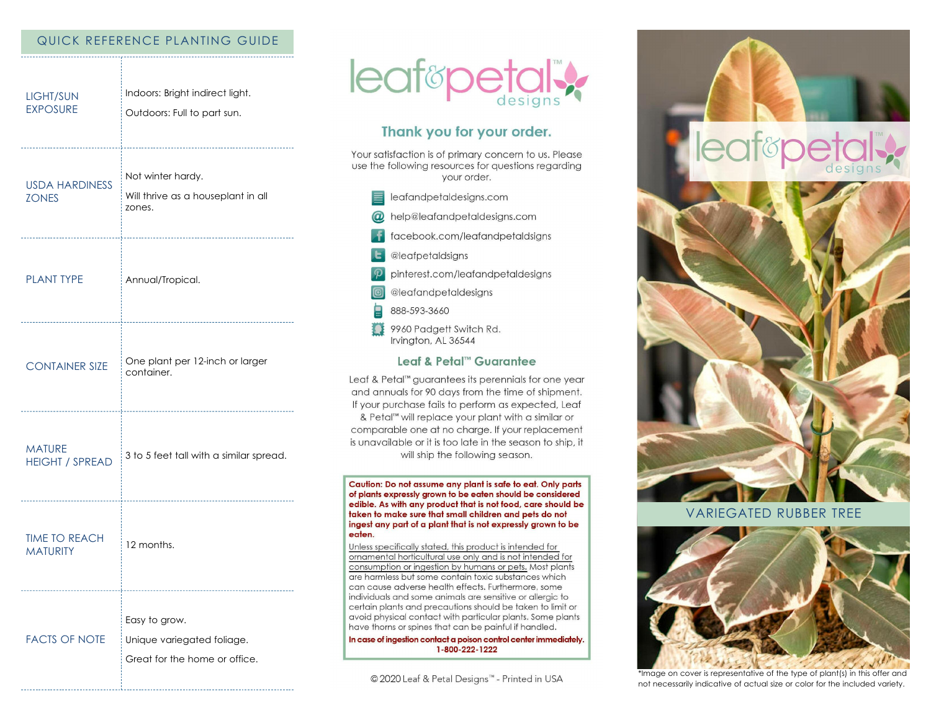### QUICK REFERENCE PLANTING GUIDE

| <b>LIGHT/SUN</b><br><b>EXPOSURE</b>                      | Indoors: Bright indirect light.<br>Outdoors: Full to part sun.               |
|----------------------------------------------------------|------------------------------------------------------------------------------|
| <b>USDA HARDINESS</b><br><b>ZONES</b>                    | Not winter hardy.<br>Will thrive as a houseplant in all<br>zones.            |
| <b>PLANT TYPE</b><br>___________________________________ | Annual/Tropical.                                                             |
| <b>CONTAINER SIZE</b>                                    | One plant per 12-inch or larger<br>container.                                |
| <b>MATURE</b><br><b>HEIGHT / SPREAD</b>                  | 3 to 5 feet tall with a similar spread.                                      |
| <b>TIME TO REACH</b><br><b>MATURITY</b>                  | 12 months.                                                                   |
| <b>FACTS OF NOTE</b>                                     | Easy to grow.<br>Unique variegated foliage.<br>Great for the home or office. |



# Thank you for your order.

Your satisfaction is of primary concern to us. Please use the following resources for questions regarding your order.

- $\equiv$  leafandpetaldesigns.com
- @ help@leafandpetaldesigns.com
	- **i** facebook.com/leafandpetaldsigns
- **L** @leafpetaldsigns
- pinterest.com/leafandpetaldesigns

@leafandpetaldesigns

- 888-593-3660
- 9960 Padgett Switch Rd. Irvington, AL 36544

## Leaf & Petal™ Guarantee

Leaf & Petal™ guarantees its perennials for one year and annuals for 90 days from the time of shipment. If your purchase fails to perform as expected, Leaf & Petal<sup>™</sup> will replace your plant with a similar or comparable one at no charge. If your replacement is unavailable or it is too late in the season to ship, it will ship the following season.

Caution: Do not assume any plant is safe to eat. Only parts of plants expressly grown to be eaten should be considered edible. As with any product that is not food, care should be taken to make sure that small children and pets do not ingest any part of a plant that is not expressly grown to be eaten.

Unless specifically stated, this product is intended for ornamental horticultural use only and is not intended for consumption or ingestion by humans or pets. Most plants are harmless but some contain toxic substances which can cause adverse health effects. Furthermore, some individuals and some animals are sensitive or allergic to certain plants and precautions should be taken to limit or avoid physical contact with particular plants. Some plants have thorns or spines that can be painful if handled.

In case of ingestion contact a poison control center immediately. 1-800-222-1222

© 2020 Leaf & Petal Designs™ - Printed in USA





# **VARIEGATED RUBBER TREE**



\*Image on cover is representative of the type of plant(s) in this offer and not necessarily indicative of actual size or color for the included variety.